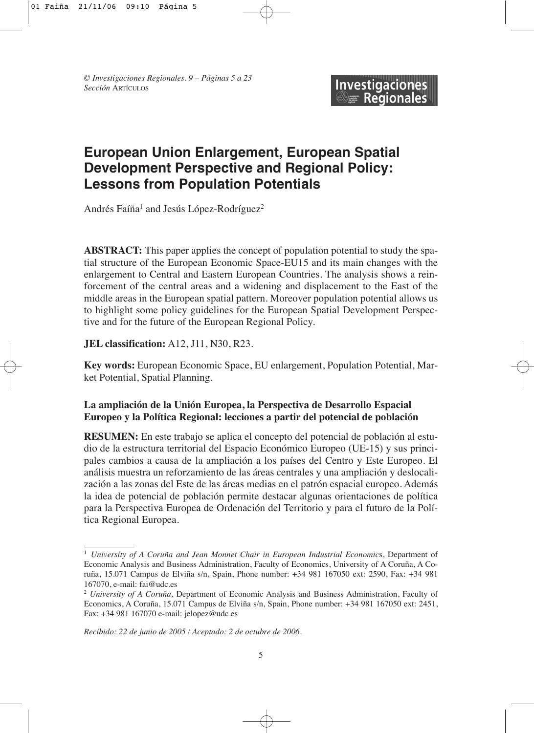# **European Union Enlargement, European Spatial Development Perspective and Regional Policy: Lessons from Population Potentials**

Andrés Faíña<sup>1</sup> and Jesús López-Rodríguez<sup>2</sup>

**ABSTRACT:** This paper applies the concept of population potential to study the spatial structure of the European Economic Space-EU15 and its main changes with the enlargement to Central and Eastern European Countries. The analysis shows a reinforcement of the central areas and a widening and displacement to the East of the middle areas in the European spatial pattern. Moreover population potential allows us to highlight some policy guidelines for the European Spatial Development Perspective and for the future of the European Regional Policy.

**JEL classification:** A12, J11, N30, R23.

**Key words:** European Economic Space, EU enlargement, Population Potential, Market Potential, Spatial Planning.

# **La ampliación de la Unión Europea, la Perspectiva de Desarrollo Espacial Europeo y la Política Regional: lecciones a partir del potencial de población**

**RESUMEN:** En este trabajo se aplica el concepto del potencial de población al estudio de la estructura territorial del Espacio Económico Europeo (UE-15) y sus principales cambios a causa de la ampliación a los países del Centro y Este Europeo. El análisis muestra un reforzamiento de las áreas centrales y una ampliación y deslocalización a las zonas del Este de las áreas medias en el patrón espacial europeo. Además la idea de potencial de población permite destacar algunas orientaciones de política para la Perspectiva Europea de Ordenación del Territorio y para el futuro de la Política Regional Europea.

<sup>1</sup> *University of A Coruña and Jean Monnet Chair in European Industrial Economic*s, Department of Economic Analysis and Business Administration, Faculty of Economics, University of A Coruña, A Coruña, 15.071 Campus de Elviña s/n, Spain, Phone number: +34 981 167050 ext: 2590, Fax: +34 981 167070, e-mail: fai@udc.es

<sup>2</sup> *University of A Coruña*, Department of Economic Analysis and Business Administration, Faculty of Economics, A Coruña, 15.071 Campus de Elviña s/n, Spain, Phone number: +34 981 167050 ext: 2451, Fax: +34 981 167070 e-mail: jelopez@udc.es

*Recibido: 22 de junio de 2005 / Aceptado: 2 de octubre de 2006.*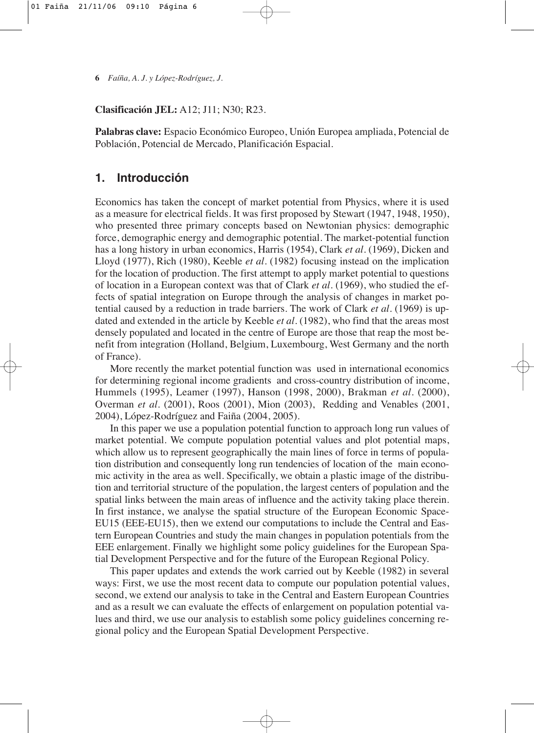### **Clasificación JEL:** A12; J11; N30; R23.

**Palabras clave:** Espacio Económico Europeo, Unión Europea ampliada, Potencial de Población, Potencial de Mercado, Planificación Espacial.

# **1. Introducción**

Economics has taken the concept of market potential from Physics, where it is used as a measure for electrical fields. It was first proposed by Stewart (1947, 1948, 1950), who presented three primary concepts based on Newtonian physics: demographic force, demographic energy and demographic potential. The market-potential function has a long history in urban economics, Harris (1954), Clark *et al.* (1969), Dicken and Lloyd (1977), Rich (1980), Keeble *et al.* (1982) focusing instead on the implication for the location of production. The first attempt to apply market potential to questions of location in a European context was that of Clark *et al.* (1969), who studied the effects of spatial integration on Europe through the analysis of changes in market potential caused by a reduction in trade barriers. The work of Clark *et al.* (1969) is updated and extended in the article by Keeble *et al.* (1982), who find that the areas most densely populated and located in the centre of Europe are those that reap the most benefit from integration (Holland, Belgium, Luxembourg, West Germany and the north of France).

More recently the market potential function was used in international economics for determining regional income gradients and cross-country distribution of income, Hummels (1995), Leamer (1997), Hanson (1998, 2000), Brakman *et al.* (2000), Overman *et al.* (2001), Roos (2001), Mion (2003), Redding and Venables (2001, 2004), López-Rodríguez and Faiña (2004, 2005).

In this paper we use a population potential function to approach long run values of market potential. We compute population potential values and plot potential maps, which allow us to represent geographically the main lines of force in terms of population distribution and consequently long run tendencies of location of the main economic activity in the area as well. Specifically, we obtain a plastic image of the distribution and territorial structure of the population, the largest centers of population and the spatial links between the main areas of influence and the activity taking place therein. In first instance, we analyse the spatial structure of the European Economic Space-EU15 (EEE-EU15), then we extend our computations to include the Central and Eastern European Countries and study the main changes in population potentials from the EEE enlargement. Finally we highlight some policy guidelines for the European Spatial Development Perspective and for the future of the European Regional Policy.

This paper updates and extends the work carried out by Keeble (1982) in several ways: First, we use the most recent data to compute our population potential values, second, we extend our analysis to take in the Central and Eastern European Countries and as a result we can evaluate the effects of enlargement on population potential values and third, we use our analysis to establish some policy guidelines concerning regional policy and the European Spatial Development Perspective.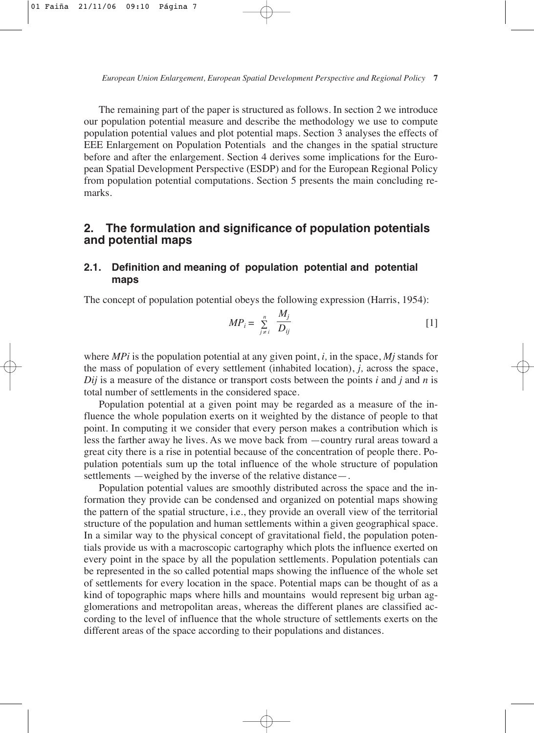The remaining part of the paper is structured as follows. In section 2 we introduce our population potential measure and describe the methodology we use to compute population potential values and plot potential maps. Section 3 analyses the effects of EEE Enlargement on Population Potentials and the changes in the spatial structure before and after the enlargement. Section 4 derives some implications for the European Spatial Development Perspective (ESDP) and for the European Regional Policy from population potential computations. Section 5 presents the main concluding remarks.

# **2. The formulation and significance of population potentials and potential maps**

# **2.1. Definition and meaning of population potential and potential maps**

The concept of population potential obeys the following expression (Harris, 1954):

$$
MP_i = \sum_{j \neq i}^{n} \frac{M_j}{D_{ij}} \tag{1}
$$

where *MPi* is the population potential at any given point, *i,* in the space, *Mj* stands for the mass of population of every settlement (inhabited location), *j,* across the space,  $Dij$  is a measure of the distance or transport costs between the points *i* and *j* and *n* is total number of settlements in the considered space.

Population potential at a given point may be regarded as a measure of the influence the whole population exerts on it weighted by the distance of people to that point. In computing it we consider that every person makes a contribution which is less the farther away he lives. As we move back from —country rural areas toward a great city there is a rise in potential because of the concentration of people there. Population potentials sum up the total influence of the whole structure of population settlements —weighed by the inverse of the relative distance—.

Population potential values are smoothly distributed across the space and the information they provide can be condensed and organized on potential maps showing the pattern of the spatial structure, i.e., they provide an overall view of the territorial structure of the population and human settlements within a given geographical space. In a similar way to the physical concept of gravitational field, the population potentials provide us with a macroscopic cartography which plots the influence exerted on every point in the space by all the population settlements. Population potentials can be represented in the so called potential maps showing the influence of the whole set of settlements for every location in the space. Potential maps can be thought of as a kind of topographic maps where hills and mountains would represent big urban agglomerations and metropolitan areas, whereas the different planes are classified according to the level of influence that the whole structure of settlements exerts on the different areas of the space according to their populations and distances.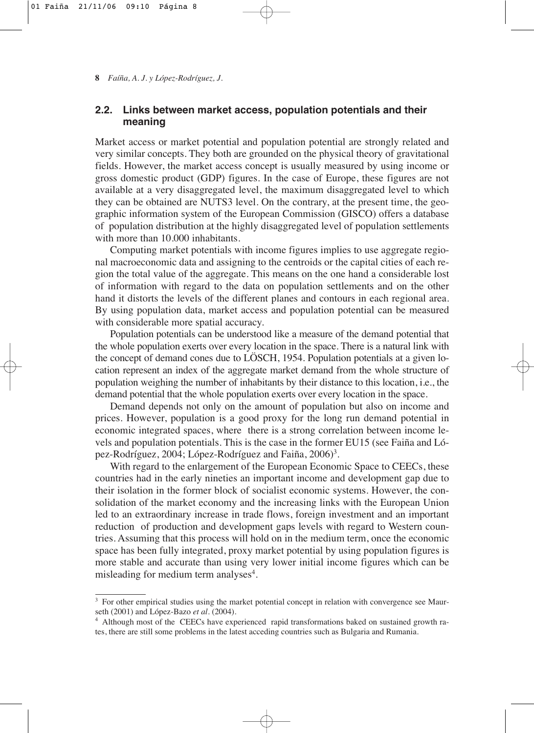## **2.2. Links between market access, population potentials and their meaning**

Market access or market potential and population potential are strongly related and very similar concepts. They both are grounded on the physical theory of gravitational fields. However, the market access concept is usually measured by using income or gross domestic product (GDP) figures. In the case of Europe, these figures are not available at a very disaggregated level, the maximum disaggregated level to which they can be obtained are NUTS3 level. On the contrary, at the present time, the geographic information system of the European Commission (GISCO) offers a database of population distribution at the highly disaggregated level of population settlements with more than 10.000 inhabitants.

Computing market potentials with income figures implies to use aggregate regional macroeconomic data and assigning to the centroids or the capital cities of each region the total value of the aggregate. This means on the one hand a considerable lost of information with regard to the data on population settlements and on the other hand it distorts the levels of the different planes and contours in each regional area. By using population data, market access and population potential can be measured with considerable more spatial accuracy.

Population potentials can be understood like a measure of the demand potential that the whole population exerts over every location in the space. There is a natural link with the concept of demand cones due to LÖSCH, 1954. Population potentials at a given location represent an index of the aggregate market demand from the whole structure of population weighing the number of inhabitants by their distance to this location, i.e., the demand potential that the whole population exerts over every location in the space.

Demand depends not only on the amount of population but also on income and prices. However, population is a good proxy for the long run demand potential in economic integrated spaces, where there is a strong correlation between income levels and population potentials. This is the case in the former EU15 (see Faiña and López-Rodríguez, 2004; López-Rodríguez and Faiña, 2006)<sup>3</sup>.

With regard to the enlargement of the European Economic Space to CEECs, these countries had in the early nineties an important income and development gap due to their isolation in the former block of socialist economic systems. However, the consolidation of the market economy and the increasing links with the European Union led to an extraordinary increase in trade flows, foreign investment and an important reduction of production and development gaps levels with regard to Western countries. Assuming that this process will hold on in the medium term, once the economic space has been fully integrated, proxy market potential by using population figures is more stable and accurate than using very lower initial income figures which can be misleading for medium term analyses<sup>4</sup>.

<sup>&</sup>lt;sup>3</sup> For other empirical studies using the market potential concept in relation with convergence see Maurseth (2001) and López-Bazo *et al.* (2004).<br><sup>4</sup> Although most of the CEECs have experienced rapid transformations baked on sustained growth ra-

tes, there are still some problems in the latest acceding countries such as Bulgaria and Rumania.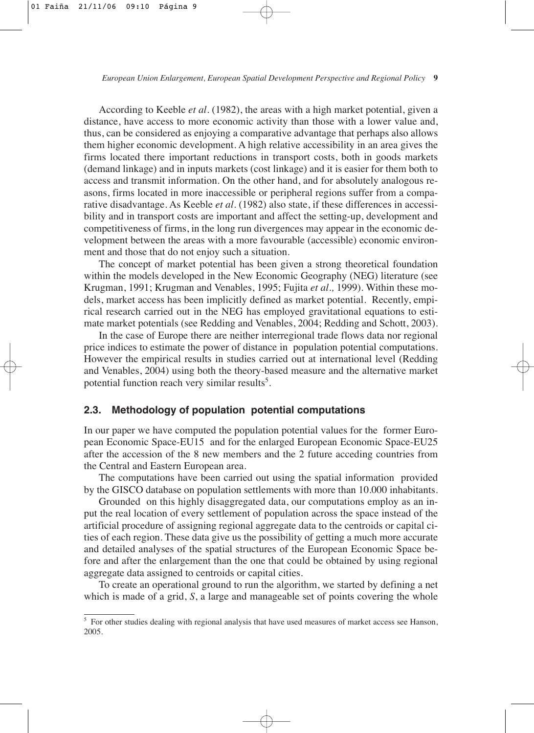According to Keeble *et al.* (1982), the areas with a high market potential, given a distance, have access to more economic activity than those with a lower value and, thus, can be considered as enjoying a comparative advantage that perhaps also allows them higher economic development. A high relative accessibility in an area gives the firms located there important reductions in transport costs, both in goods markets (demand linkage) and in inputs markets (cost linkage) and it is easier for them both to access and transmit information. On the other hand, and for absolutely analogous reasons, firms located in more inaccessible or peripheral regions suffer from a comparative disadvantage. As Keeble *et al.* (1982) also state, if these differences in accessibility and in transport costs are important and affect the setting-up, development and competitiveness of firms, in the long run divergences may appear in the economic development between the areas with a more favourable (accessible) economic environment and those that do not enjoy such a situation.

The concept of market potential has been given a strong theoretical foundation within the models developed in the New Economic Geography (NEG) literature (see Krugman, 1991; Krugman and Venables, 1995; Fujita *et al.,* 1999). Within these models, market access has been implicitly defined as market potential. Recently, empirical research carried out in the NEG has employed gravitational equations to estimate market potentials (see Redding and Venables, 2004; Redding and Schott, 2003).

In the case of Europe there are neither interregional trade flows data nor regional price indices to estimate the power of distance in population potential computations. However the empirical results in studies carried out at international level (Redding and Venables, 2004) using both the theory-based measure and the alternative market potential function reach very similar results<sup>5</sup>.

### **2.3. Methodology of population potential computations**

In our paper we have computed the population potential values for the former European Economic Space-EU15 and for the enlarged European Economic Space-EU25 after the accession of the 8 new members and the 2 future acceding countries from the Central and Eastern European area.

The computations have been carried out using the spatial information provided by the GISCO database on population settlements with more than 10.000 inhabitants.

Grounded on this highly disaggregated data, our computations employ as an input the real location of every settlement of population across the space instead of the artificial procedure of assigning regional aggregate data to the centroids or capital cities of each region. These data give us the possibility of getting a much more accurate and detailed analyses of the spatial structures of the European Economic Space before and after the enlargement than the one that could be obtained by using regional aggregate data assigned to centroids or capital cities.

To create an operational ground to run the algorithm, we started by defining a net which is made of a grid, *S*, a large and manageable set of points covering the whole

<sup>&</sup>lt;sup>5</sup> For other studies dealing with regional analysis that have used measures of market access see Hanson, 2005.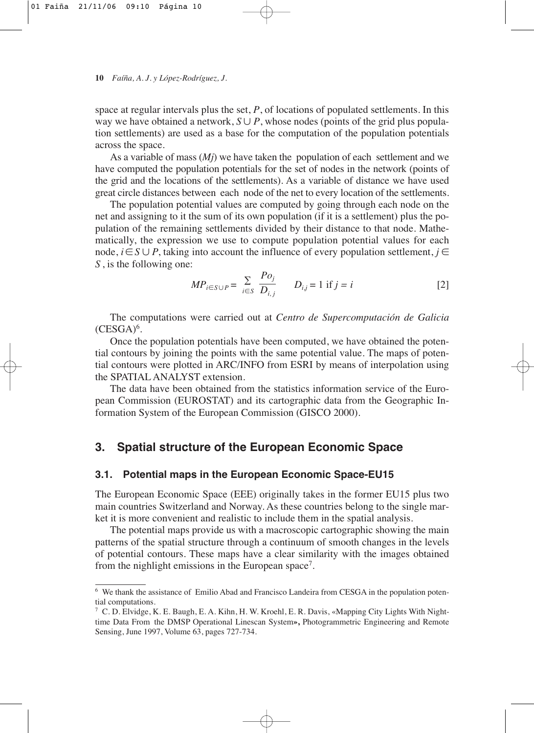space at regular intervals plus the set, *P*, of locations of populated settlements. In this way we have obtained a network,  $S \cup P$ , whose nodes (points of the grid plus population settlements) are used as a base for the computation of the population potentials across the space.

As a variable of mass (*Mj*) we have taken the population of each settlement and we have computed the population potentials for the set of nodes in the network (points of the grid and the locations of the settlements). As a variable of distance we have used great circle distances between each node of the net to every location of the settlements.

The population potential values are computed by going through each node on the net and assigning to it the sum of its own population (if it is a settlement) plus the population of the remaining settlements divided by their distance to that node. Mathematically, the expression we use to compute population potential values for each node,  $i \in S \cup P$ , taking into account the influence of every population settlement,  $j \in$ *S* , is the following one:

$$
MP_{i \in S \cup P} = \sum_{i \in S} \frac{Po_j}{D_{i,j}} \qquad D_{i,j} = 1 \text{ if } j = i \tag{2}
$$

The computations were carried out at *Centro de Supercomputación de Galicia*  $(CESGA)^6$ .

Once the population potentials have been computed, we have obtained the potential contours by joining the points with the same potential value. The maps of potential contours were plotted in ARC/INFO from ESRI by means of interpolation using the SPATIAL ANALYST extension.

The data have been obtained from the statistics information service of the European Commission (EUROSTAT) and its cartographic data from the Geographic Information System of the European Commission (GISCO 2000).

# **3. Spatial structure of the European Economic Space**

### **3.1. Potential maps in the European Economic Space-EU15**

The European Economic Space (EEE) originally takes in the former EU15 plus two main countries Switzerland and Norway. As these countries belong to the single market it is more convenient and realistic to include them in the spatial analysis.

The potential maps provide us with a macroscopic cartographic showing the main patterns of the spatial structure through a continuum of smooth changes in the levels of potential contours. These maps have a clear similarity with the images obtained from the nighlight emissions in the European space<sup>7</sup>.

<sup>6</sup> We thank the assistance of Emilio Abad and Francisco Landeira from CESGA in the population potential computations.

<sup>7</sup> C. D. Elvidge, K. E. Baugh, E. A. Kihn, H. W. Kroehl, E. R. Davis, «Mapping City Lights With Nighttime Data From the DMSP Operational Linescan System**»,** Photogrammetric Engineering and Remote Sensing, June 1997, Volume 63, pages 727-734.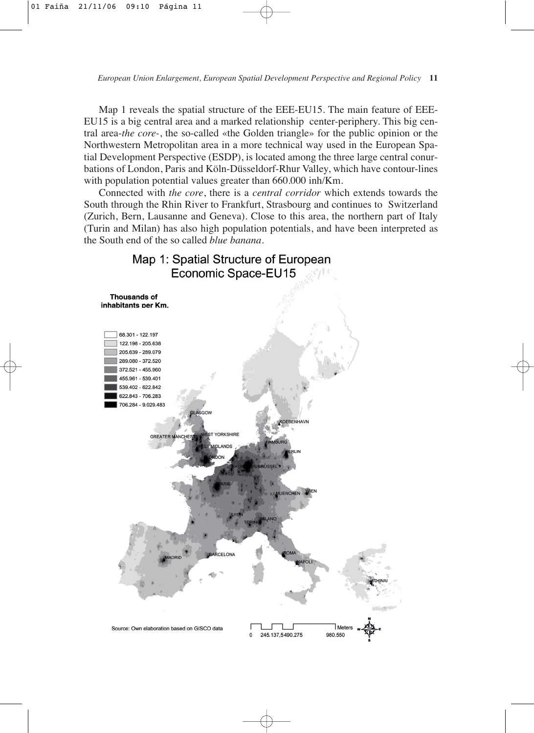Map 1 reveals the spatial structure of the EEE-EU15. The main feature of EEE-EU15 is a big central area and a marked relationship center-periphery. This big central area-*the core-*, the so-called «the Golden triangle» for the public opinion or the Northwestern Metropolitan area in a more technical way used in the European Spatial Development Perspective (ESDP), is located among the three large central conurbations of London, Paris and Köln-Düsseldorf-Rhur Valley, which have contour-lines with population potential values greater than 660.000 inh/Km.

Connected with *the core*, there is a *central corridor* which extends towards the South through the Rhin River to Frankfurt, Strasbourg and continues to Switzerland (Zurich, Bern, Lausanne and Geneva). Close to this area, the northern part of Italy (Turin and Milan) has also high population potentials, and have been interpreted as the South end of the so called *blue banana*.

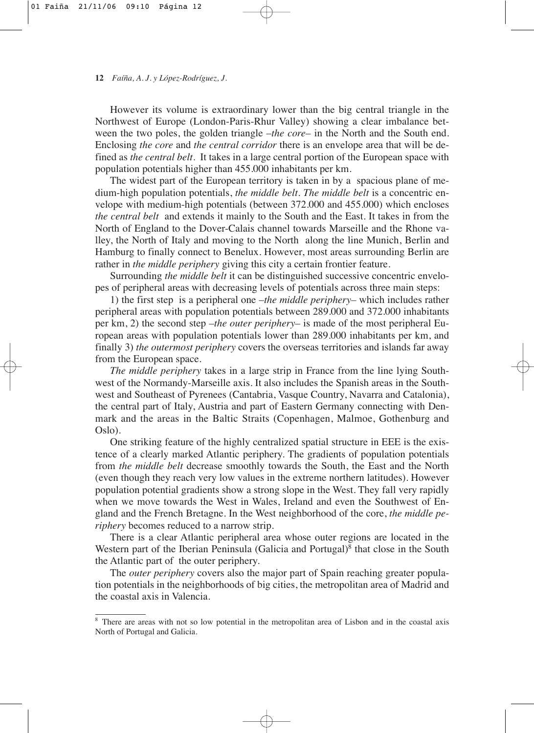However its volume is extraordinary lower than the big central triangle in the Northwest of Europe (London-Paris-Rhur Valley) showing a clear imbalance between the two poles, the golden triangle –*the core–* in the North and the South end. Enclosing *the core* and *the central corridor* there is an envelope area that will be defined as *the central belt*. It takes in a large central portion of the European space with population potentials higher than 455.000 inhabitants per km.

The widest part of the European territory is taken in by a spacious plane of medium-high population potentials, *the middle belt. The middle belt* is a concentric envelope with medium-high potentials (between 372.000 and 455.000) which encloses *the central belt* and extends it mainly to the South and the East. It takes in from the North of England to the Dover-Calais channel towards Marseille and the Rhone valley, the North of Italy and moving to the North along the line Munich, Berlin and Hamburg to finally connect to Benelux. However, most areas surrounding Berlin are rather in *the middle periphery* giving this city a certain frontier feature.

Surrounding *the middle belt* it can be distinguished successive concentric envelopes of peripheral areas with decreasing levels of potentials across three main steps:

1) the first step is a peripheral one –*the middle periphery–* which includes rather peripheral areas with population potentials between 289.000 and 372.000 inhabitants per km, 2) the second step *–the outer periphery–* is made of the most peripheral European areas with population potentials lower than 289.000 inhabitants per km, and finally 3) *the outermost periphery* covers the overseas territories and islands far away from the European space.

*The middle periphery* takes in a large strip in France from the line lying Southwest of the Normandy-Marseille axis. It also includes the Spanish areas in the Southwest and Southeast of Pyrenees (Cantabria, Vasque Country, Navarra and Catalonia), the central part of Italy, Austria and part of Eastern Germany connecting with Denmark and the areas in the Baltic Straits (Copenhagen, Malmoe, Gothenburg and Oslo).

One striking feature of the highly centralized spatial structure in EEE is the existence of a clearly marked Atlantic periphery. The gradients of population potentials from *the middle belt* decrease smoothly towards the South, the East and the North (even though they reach very low values in the extreme northern latitudes). However population potential gradients show a strong slope in the West. They fall very rapidly when we move towards the West in Wales, Ireland and even the Southwest of England and the French Bretagne. In the West neighborhood of the core, *the middle periphery* becomes reduced to a narrow strip.

There is a clear Atlantic peripheral area whose outer regions are located in the Western part of the Iberian Peninsula (Galicia and Portugal)<sup>8</sup> that close in the South the Atlantic part of the outer periphery.

The *outer periphery* covers also the major part of Spain reaching greater population potentials in the neighborhoods of big cities, the metropolitan area of Madrid and the coastal axis in Valencia.

<sup>8</sup> There are areas with not so low potential in the metropolitan area of Lisbon and in the coastal axis North of Portugal and Galicia.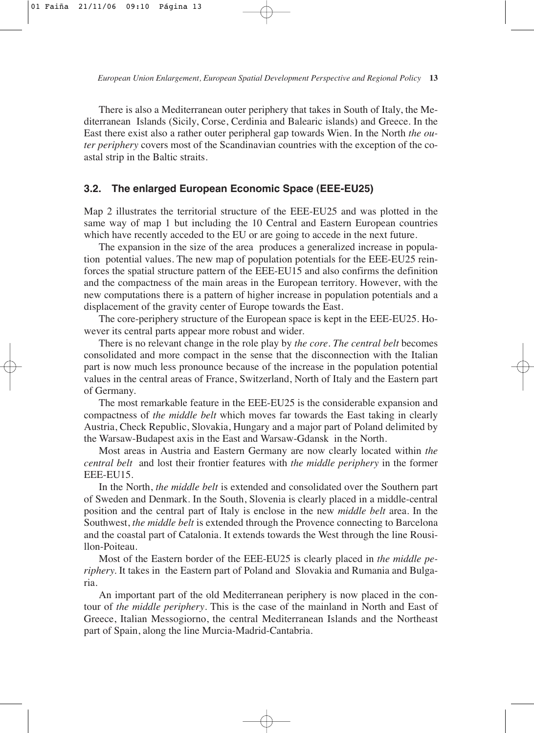There is also a Mediterranean outer periphery that takes in South of Italy, the Mediterranean Islands (Sicily, Corse, Cerdinia and Balearic islands) and Greece. In the East there exist also a rather outer peripheral gap towards Wien. In the North *the outer periphery* covers most of the Scandinavian countries with the exception of the coastal strip in the Baltic straits.

### **3.2. The enlarged European Economic Space (EEE-EU25)**

Map 2 illustrates the territorial structure of the EEE-EU25 and was plotted in the same way of map 1 but including the 10 Central and Eastern European countries which have recently acceded to the EU or are going to accede in the next future.

The expansion in the size of the area produces a generalized increase in population potential values. The new map of population potentials for the EEE-EU25 reinforces the spatial structure pattern of the EEE-EU15 and also confirms the definition and the compactness of the main areas in the European territory. However, with the new computations there is a pattern of higher increase in population potentials and a displacement of the gravity center of Europe towards the East.

The core-periphery structure of the European space is kept in the EEE-EU25. However its central parts appear more robust and wider.

There is no relevant change in the role play by *the core. The central belt* becomes consolidated and more compact in the sense that the disconnection with the Italian part is now much less pronounce because of the increase in the population potential values in the central areas of France, Switzerland, North of Italy and the Eastern part of Germany.

The most remarkable feature in the EEE-EU25 is the considerable expansion and compactness of *the middle belt* which moves far towards the East taking in clearly Austria, Check Republic, Slovakia, Hungary and a major part of Poland delimited by the Warsaw-Budapest axis in the East and Warsaw-Gdansk in the North.

Most areas in Austria and Eastern Germany are now clearly located within *the central belt* and lost their frontier features with *the middle periphery* in the former EEE-EU15.

In the North, *the middle belt* is extended and consolidated over the Southern part of Sweden and Denmark. In the South, Slovenia is clearly placed in a middle-central position and the central part of Italy is enclose in the new *middle belt* area. In the Southwest, *the middle belt* is extended through the Provence connecting to Barcelona and the coastal part of Catalonia. It extends towards the West through the line Rousillon-Poiteau.

Most of the Eastern border of the EEE-EU25 is clearly placed in *the middle periphery.* It takes in the Eastern part of Poland and Slovakia and Rumania and Bulgaria.

An important part of the old Mediterranean periphery is now placed in the contour of *the middle periphery*. This is the case of the mainland in North and East of Greece, Italian Messogiorno, the central Mediterranean Islands and the Northeast part of Spain, along the line Murcia-Madrid-Cantabria.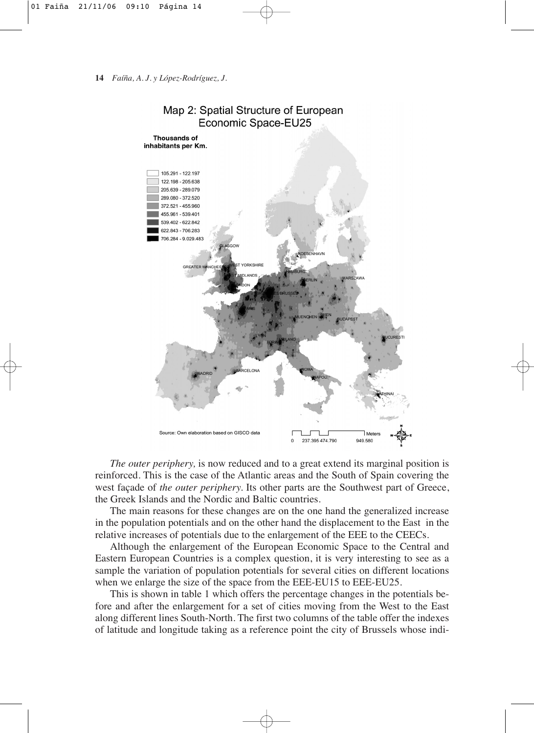



*The outer periphery,* is now reduced and to a great extend its marginal position is reinforced. This is the case of the Atlantic areas and the South of Spain covering the west façade of *the outer periphery.* Its other parts are the Southwest part of Greece, the Greek Islands and the Nordic and Baltic countries.

The main reasons for these changes are on the one hand the generalized increase in the population potentials and on the other hand the displacement to the East in the relative increases of potentials due to the enlargement of the EEE to the CEECs.

Although the enlargement of the European Economic Space to the Central and Eastern European Countries is a complex question, it is very interesting to see as a sample the variation of population potentials for several cities on different locations when we enlarge the size of the space from the EEE-EU15 to EEE-EU25.

This is shown in table 1 which offers the percentage changes in the potentials before and after the enlargement for a set of cities moving from the West to the East along different lines South-North. The first two columns of the table offer the indexes of latitude and longitude taking as a reference point the city of Brussels whose indi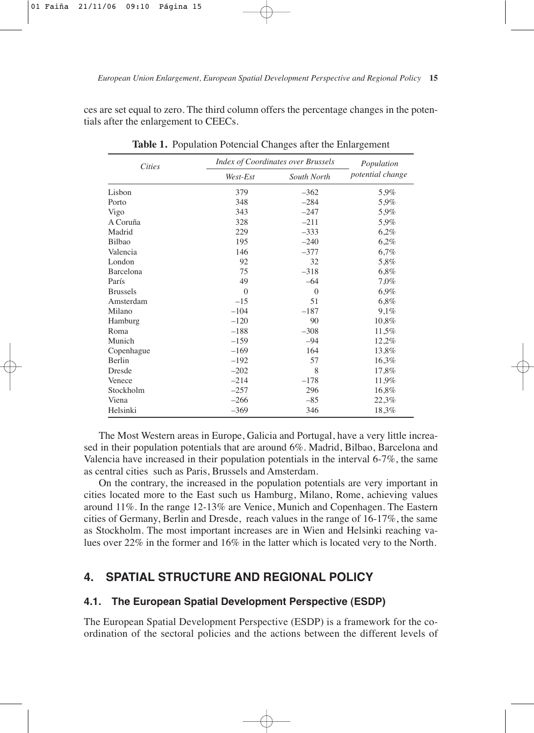ces are set equal to zero. The third column offers the percentage changes in the potentials after the enlargement to CEECs.

| <b>Cities</b>   | <b>Index of Coordinates over Brussels</b> |             | Population       |
|-----------------|-------------------------------------------|-------------|------------------|
|                 | West-Est                                  | South North | potential change |
| Lisbon          | 379                                       | $-362$      | 5,9%             |
| Porto           | 348                                       | $-284$      | 5.9%             |
| Vigo            | 343                                       | $-247$      | 5,9%             |
| A Coruña        | 328                                       | $-211$      | 5.9%             |
| Madrid          | 229                                       | $-333$      | 6,2%             |
| Bilbao          | 195                                       | $-240$      | 6,2%             |
| Valencia        | 146                                       | $-377$      | 6,7%             |
| London          | 92                                        | 32          | 5,8%             |
| Barcelona       | 75                                        | $-318$      | 6,8%             |
| París           | 49                                        | $-64$       | 7.0%             |
| <b>Brussels</b> | $\Omega$                                  | $\theta$    | 6,9%             |
| Amsterdam       | $-15$                                     | 51          | 6,8%             |
| Milano          | $-104$                                    | $-187$      | 9,1%             |
| Hamburg         | $-120$                                    | 90          | 10,8%            |
| Roma            | $-188$                                    | $-308$      | 11,5%            |
| Munich          | $-159$                                    | $-94$       | 12,2%            |
| Copenhague      | $-169$                                    | 164         | 13,8%            |
| Berlin          | $-192$                                    | 57          | 16,3%            |
| Dresde          | $-202$                                    | 8           | 17,8%            |
| Venece          | $-214$                                    | $-178$      | 11,9%            |
| Stockholm       | $-257$                                    | 296         | 16,8%            |
| Viena           | $-266$                                    | $-85$       | 22,3%            |
| Helsinki        | $-369$                                    | 346         | 18,3%            |

**Table 1.** Population Potencial Changes after the Enlargement

The Most Western areas in Europe, Galicia and Portugal, have a very little increased in their population potentials that are around 6%. Madrid, Bilbao, Barcelona and Valencia have increased in their population potentials in the interval 6-7%, the same as central cities such as Paris, Brussels and Amsterdam.

On the contrary, the increased in the population potentials are very important in cities located more to the East such us Hamburg, Milano, Rome, achieving values around 11%. In the range 12-13% are Venice, Munich and Copenhagen. The Eastern cities of Germany, Berlin and Dresde, reach values in the range of 16-17%, the same as Stockholm. The most important increases are in Wien and Helsinki reaching values over 22% in the former and 16% in the latter which is located very to the North.

# **4. SPATIAL STRUCTURE AND REGIONAL POLICY**

### **4.1. The European Spatial Development Perspective (ESDP)**

The European Spatial Development Perspective (ESDP) is a framework for the coordination of the sectoral policies and the actions between the different levels of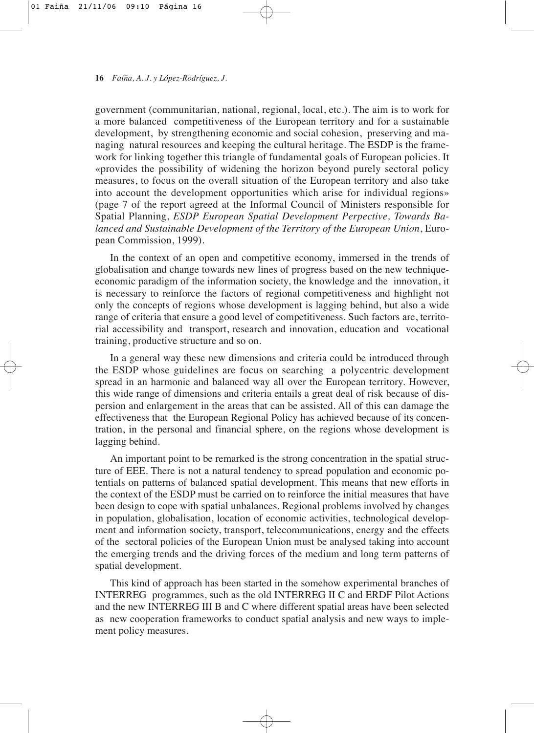government (communitarian, national, regional, local, etc.). The aim is to work for a more balanced competitiveness of the European territory and for a sustainable development, by strengthening economic and social cohesion, preserving and managing natural resources and keeping the cultural heritage. The ESDP is the framework for linking together this triangle of fundamental goals of European policies. It «provides the possibility of widening the horizon beyond purely sectoral policy measures, to focus on the overall situation of the European territory and also take into account the development opportunities which arise for individual regions» (page 7 of the report agreed at the Informal Council of Ministers responsible for Spatial Planning, *ESDP European Spatial Development Perpective, Towards Balanced and Sustainable Development of the Territory of the European Union*, European Commission, 1999).

In the context of an open and competitive economy, immersed in the trends of globalisation and change towards new lines of progress based on the new techniqueeconomic paradigm of the information society, the knowledge and the innovation, it is necessary to reinforce the factors of regional competitiveness and highlight not only the concepts of regions whose development is lagging behind, but also a wide range of criteria that ensure a good level of competitiveness. Such factors are, territorial accessibility and transport, research and innovation, education and vocational training, productive structure and so on.

In a general way these new dimensions and criteria could be introduced through the ESDP whose guidelines are focus on searching a polycentric development spread in an harmonic and balanced way all over the European territory. However, this wide range of dimensions and criteria entails a great deal of risk because of dispersion and enlargement in the areas that can be assisted. All of this can damage the effectiveness that the European Regional Policy has achieved because of its concentration, in the personal and financial sphere, on the regions whose development is lagging behind.

An important point to be remarked is the strong concentration in the spatial structure of EEE. There is not a natural tendency to spread population and economic potentials on patterns of balanced spatial development. This means that new efforts in the context of the ESDP must be carried on to reinforce the initial measures that have been design to cope with spatial unbalances. Regional problems involved by changes in population, globalisation, location of economic activities, technological development and information society, transport, telecommunications, energy and the effects of the sectoral policies of the European Union must be analysed taking into account the emerging trends and the driving forces of the medium and long term patterns of spatial development.

This kind of approach has been started in the somehow experimental branches of INTERREG programmes, such as the old INTERREG II C and ERDF Pilot Actions and the new INTERREG III B and C where different spatial areas have been selected as new cooperation frameworks to conduct spatial analysis and new ways to implement policy measures.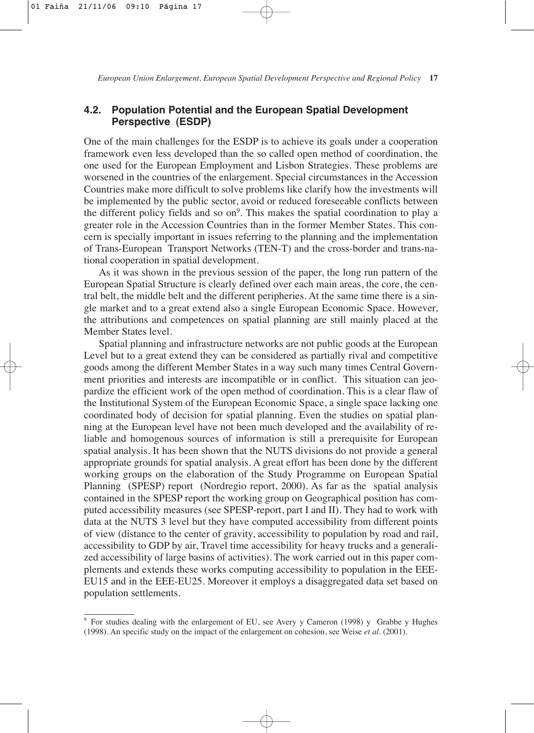## **4.2. Population Potential and the European Spatial Development Perspective (ESDP)**

One of the main challenges for the ESDP is to achieve its goals under a cooperation framework even less developed than the so called open method of coordination, the one used for the European Employment and Lisbon Strategies. These problems are worsened in the countries of the enlargement. Special circumstances in the Accession Countries make more difficult to solve problems like clarify how the investments will be implemented by the public sector, avoid or reduced foreseeable conflicts between the different policy fields and so  $on<sup>9</sup>$ . This makes the spatial coordination to play a greater role in the Accession Countries than in the former Member States. This concern is specially important in issues referring to the planning and the implementation of Trans-European Transport Networks (TEN-T) and the cross-border and trans-national cooperation in spatial development.

As it was shown in the previous session of the paper, the long run pattern of the European Spatial Structure is clearly defined over each main areas, the core, the central belt, the middle belt and the different peripheries. At the same time there is a single market and to a great extend also a single European Economic Space. However, the attributions and competences on spatial planning are still mainly placed at the Member States level.

Spatial planning and infrastructure networks are not public goods at the European Level but to a great extend they can be considered as partially rival and competitive goods among the different Member States in a way such many times Central Government priorities and interests are incompatible or in conflict. This situation can jeopardize the efficient work of the open method of coordination. This is a clear flaw of the Institutional System of the European Economic Space, a single space lacking one coordinated body of decision for spatial planning. Even the studies on spatial planning at the European level have not been much developed and the availability of reliable and homogenous sources of information is still a prerequisite for European spatial analysis. It has been shown that the NUTS divisions do not provide a general appropriate grounds for spatial analysis. A great effort has been done by the different working groups on the elaboration of the Study Programme on European Spatial Planning (SPESP) report (Nordregio report, 2000). As far as the spatial analysis contained in the SPESP report the working group on Geographical position has computed accessibility measures (see SPESP-report, part I and II). They had to work with data at the NUTS 3 level but they have computed accessibility from different points of view (distance to the center of gravity, accessibility to population by road and rail, accessibility to GDP by air, Travel time accessibility for heavy trucks and a generalized accessibility of large basins of activities). The work carried out in this paper complements and extends these works computing accessibility to population in the EEE-EU15 and in the EEE-EU25. Moreover it employs a disaggregated data set based on population settlements.

<sup>&</sup>lt;sup>9</sup> For studies dealing with the enlargement of EU, see Avery y Cameron (1998) y Grabbe y Hughes (1998). An specific study on the impact of the enlargement on cohesion, see Weise *et al.* (2001).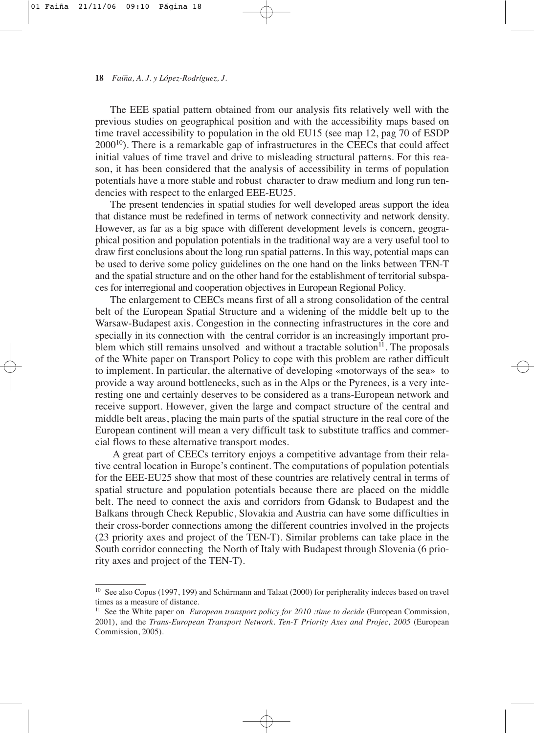The EEE spatial pattern obtained from our analysis fits relatively well with the previous studies on geographical position and with the accessibility maps based on time travel accessibility to population in the old EU15 (see map 12, pag 70 of ESDP  $2000^{10}$ ). There is a remarkable gap of infrastructures in the CEECs that could affect initial values of time travel and drive to misleading structural patterns. For this reason, it has been considered that the analysis of accessibility in terms of population potentials have a more stable and robust character to draw medium and long run tendencies with respect to the enlarged EEE-EU25.

The present tendencies in spatial studies for well developed areas support the idea that distance must be redefined in terms of network connectivity and network density. However, as far as a big space with different development levels is concern, geographical position and population potentials in the traditional way are a very useful tool to draw first conclusions about the long run spatial patterns. In this way, potential maps can be used to derive some policy guidelines on the one hand on the links between TEN-T and the spatial structure and on the other hand for the establishment of territorial subspaces for interregional and cooperation objectives in European Regional Policy.

The enlargement to CEECs means first of all a strong consolidation of the central belt of the European Spatial Structure and a widening of the middle belt up to the Warsaw-Budapest axis. Congestion in the connecting infrastructures in the core and specially in its connection with the central corridor is an increasingly important problem which still remains unsolved and without a tractable solution $11$ . The proposals of the White paper on Transport Policy to cope with this problem are rather difficult to implement. In particular, the alternative of developing «motorways of the sea» to provide a way around bottlenecks, such as in the Alps or the Pyrenees, is a very interesting one and certainly deserves to be considered as a trans-European network and receive support. However, given the large and compact structure of the central and middle belt areas, placing the main parts of the spatial structure in the real core of the European continent will mean a very difficult task to substitute traffics and commercial flows to these alternative transport modes.

A great part of CEECs territory enjoys a competitive advantage from their relative central location in Europe's continent. The computations of population potentials for the EEE-EU25 show that most of these countries are relatively central in terms of spatial structure and population potentials because there are placed on the middle belt. The need to connect the axis and corridors from Gdansk to Budapest and the Balkans through Check Republic, Slovakia and Austria can have some difficulties in their cross-border connections among the different countries involved in the projects (23 priority axes and project of the TEN-T). Similar problems can take place in the South corridor connecting the North of Italy with Budapest through Slovenia (6 priority axes and project of the TEN-T).

<sup>&</sup>lt;sup>10</sup> See also Copus (1997, 199) and Schürmann and Talaat (2000) for peripherality indeces based on travel times as a measure of distance.

<sup>&</sup>lt;sup>11</sup> See the White paper on *European transport policy for 2010 :time to decide* (European Commission, 2001), and the *Trans-European Transport Network. Ten-T Priority Axes and Projec, 2005* (European Commission, 2005).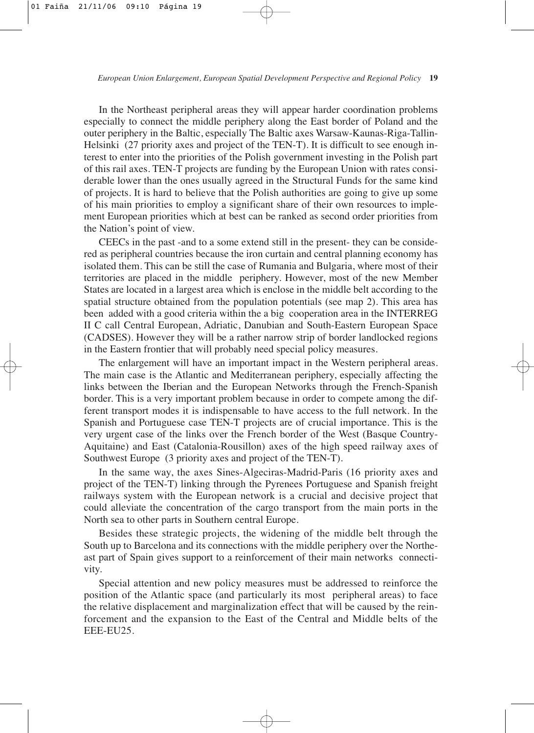In the Northeast peripheral areas they will appear harder coordination problems especially to connect the middle periphery along the East border of Poland and the outer periphery in the Baltic, especially The Baltic axes Warsaw-Kaunas-Riga-Tallin-Helsinki (27 priority axes and project of the TEN-T). It is difficult to see enough interest to enter into the priorities of the Polish government investing in the Polish part of this rail axes. TEN-T projects are funding by the European Union with rates considerable lower than the ones usually agreed in the Structural Funds for the same kind of projects. It is hard to believe that the Polish authorities are going to give up some of his main priorities to employ a significant share of their own resources to implement European priorities which at best can be ranked as second order priorities from the Nation's point of view.

CEECs in the past -and to a some extend still in the present- they can be considered as peripheral countries because the iron curtain and central planning economy has isolated them. This can be still the case of Rumania and Bulgaria, where most of their territories are placed in the middle periphery. However, most of the new Member States are located in a largest area which is enclose in the middle belt according to the spatial structure obtained from the population potentials (see map 2). This area has been added with a good criteria within the a big cooperation area in the INTERREG II C call Central European, Adriatic, Danubian and South-Eastern European Space (CADSES). However they will be a rather narrow strip of border landlocked regions in the Eastern frontier that will probably need special policy measures.

The enlargement will have an important impact in the Western peripheral areas. The main case is the Atlantic and Mediterranean periphery, especially affecting the links between the Iberian and the European Networks through the French-Spanish border. This is a very important problem because in order to compete among the different transport modes it is indispensable to have access to the full network. In the Spanish and Portuguese case TEN-T projects are of crucial importance. This is the very urgent case of the links over the French border of the West (Basque Country-Aquitaine) and East (Catalonia-Rousillon) axes of the high speed railway axes of Southwest Europe (3 priority axes and project of the TEN-T).

In the same way, the axes Sines-Algeciras-Madrid-Paris (16 priority axes and project of the TEN-T) linking through the Pyrenees Portuguese and Spanish freight railways system with the European network is a crucial and decisive project that could alleviate the concentration of the cargo transport from the main ports in the North sea to other parts in Southern central Europe.

Besides these strategic projects, the widening of the middle belt through the South up to Barcelona and its connections with the middle periphery over the Northeast part of Spain gives support to a reinforcement of their main networks connectivity.

Special attention and new policy measures must be addressed to reinforce the position of the Atlantic space (and particularly its most peripheral areas) to face the relative displacement and marginalization effect that will be caused by the reinforcement and the expansion to the East of the Central and Middle belts of the EEE-EU25.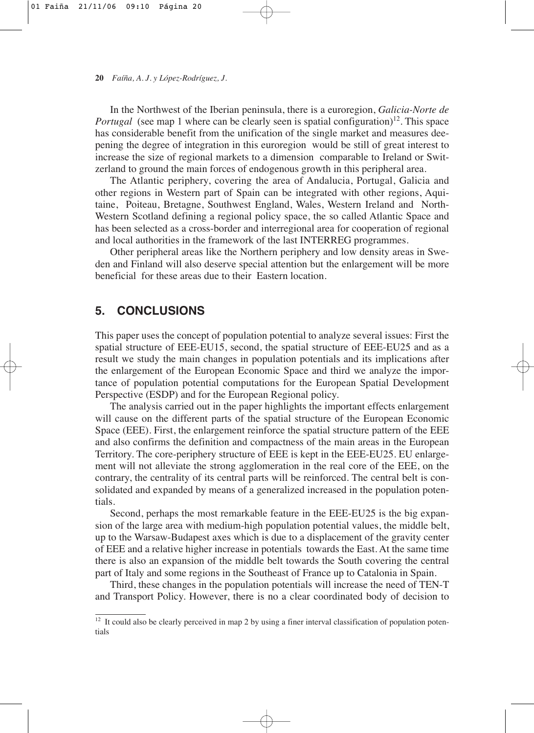In the Northwest of the Iberian peninsula, there is a euroregion, *Galicia-Norte de Portugal* (see map 1 where can be clearly seen is spatial configuration)<sup>12</sup>. This space has considerable benefit from the unification of the single market and measures deepening the degree of integration in this euroregion would be still of great interest to increase the size of regional markets to a dimension comparable to Ireland or Switzerland to ground the main forces of endogenous growth in this peripheral area.

The Atlantic periphery, covering the area of Andalucia, Portugal, Galicia and other regions in Western part of Spain can be integrated with other regions, Aquitaine, Poiteau, Bretagne, Southwest England, Wales, Western Ireland and North-Western Scotland defining a regional policy space, the so called Atlantic Space and has been selected as a cross-border and interregional area for cooperation of regional and local authorities in the framework of the last INTERREG programmes.

Other peripheral areas like the Northern periphery and low density areas in Sweden and Finland will also deserve special attention but the enlargement will be more beneficial for these areas due to their Eastern location.

# **5. CONCLUSIONS**

This paper uses the concept of population potential to analyze several issues: First the spatial structure of EEE-EU15, second, the spatial structure of EEE-EU25 and as a result we study the main changes in population potentials and its implications after the enlargement of the European Economic Space and third we analyze the importance of population potential computations for the European Spatial Development Perspective (ESDP) and for the European Regional policy.

The analysis carried out in the paper highlights the important effects enlargement will cause on the different parts of the spatial structure of the European Economic Space (EEE). First, the enlargement reinforce the spatial structure pattern of the EEE and also confirms the definition and compactness of the main areas in the European Territory. The core-periphery structure of EEE is kept in the EEE-EU25. EU enlargement will not alleviate the strong agglomeration in the real core of the EEE, on the contrary, the centrality of its central parts will be reinforced. The central belt is consolidated and expanded by means of a generalized increased in the population potentials.

Second, perhaps the most remarkable feature in the EEE-EU25 is the big expansion of the large area with medium-high population potential values, the middle belt, up to the Warsaw-Budapest axes which is due to a displacement of the gravity center of EEE and a relative higher increase in potentials towards the East. At the same time there is also an expansion of the middle belt towards the South covering the central part of Italy and some regions in the Southeast of France up to Catalonia in Spain.

Third, these changes in the population potentials will increase the need of TEN-T and Transport Policy. However, there is no a clear coordinated body of decision to

<sup>&</sup>lt;sup>12</sup> It could also be clearly perceived in map 2 by using a finer interval classification of population potentials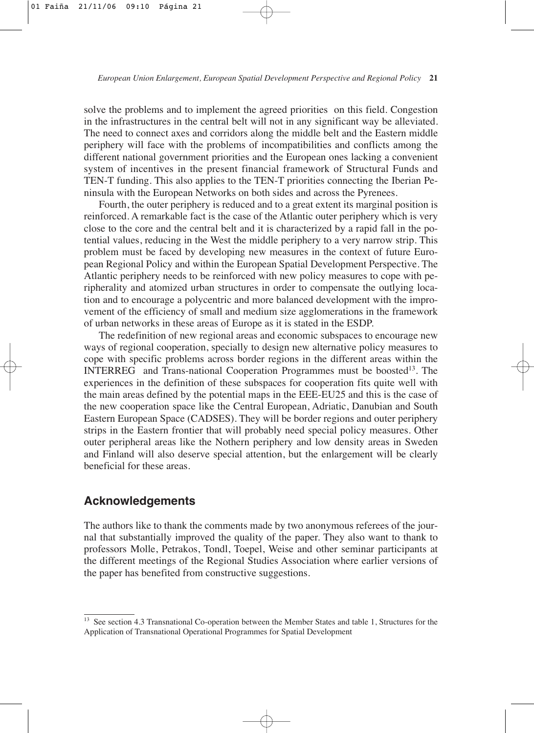solve the problems and to implement the agreed priorities on this field. Congestion in the infrastructures in the central belt will not in any significant way be alleviated. The need to connect axes and corridors along the middle belt and the Eastern middle periphery will face with the problems of incompatibilities and conflicts among the different national government priorities and the European ones lacking a convenient system of incentives in the present financial framework of Structural Funds and TEN-T funding. This also applies to the TEN-T priorities connecting the Iberian Peninsula with the European Networks on both sides and across the Pyrenees.

Fourth, the outer periphery is reduced and to a great extent its marginal position is reinforced. A remarkable fact is the case of the Atlantic outer periphery which is very close to the core and the central belt and it is characterized by a rapid fall in the potential values, reducing in the West the middle periphery to a very narrow strip. This problem must be faced by developing new measures in the context of future European Regional Policy and within the European Spatial Development Perspective. The Atlantic periphery needs to be reinforced with new policy measures to cope with peripherality and atomized urban structures in order to compensate the outlying location and to encourage a polycentric and more balanced development with the improvement of the efficiency of small and medium size agglomerations in the framework of urban networks in these areas of Europe as it is stated in the ESDP.

The redefinition of new regional areas and economic subspaces to encourage new ways of regional cooperation, specially to design new alternative policy measures to cope with specific problems across border regions in the different areas within the INTERREG and Trans-national Cooperation Programmes must be boosted<sup>13</sup>. The experiences in the definition of these subspaces for cooperation fits quite well with the main areas defined by the potential maps in the EEE-EU25 and this is the case of the new cooperation space like the Central European, Adriatic, Danubian and South Eastern European Space (CADSES). They will be border regions and outer periphery strips in the Eastern frontier that will probably need special policy measures. Other outer peripheral areas like the Nothern periphery and low density areas in Sweden and Finland will also deserve special attention, but the enlargement will be clearly beneficial for these areas.

## **Acknowledgements**

The authors like to thank the comments made by two anonymous referees of the journal that substantially improved the quality of the paper. They also want to thank to professors Molle, Petrakos, Tondl, Toepel, Weise and other seminar participants at the different meetings of the Regional Studies Association where earlier versions of the paper has benefited from constructive suggestions.

See section 4.3 Transnational Co-operation between the Member States and table 1, Structures for the Application of Transnational Operational Programmes for Spatial Development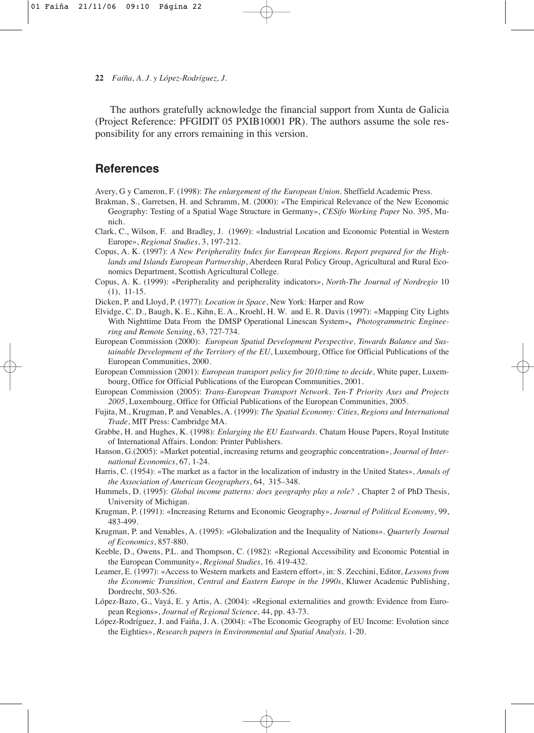The authors gratefully acknowledge the financial support from Xunta de Galicia (Project Reference: PFGIDIT 05 PXIB10001 PR). The authors assume the sole responsibility for any errors remaining in this version.

# **References**

Avery, G y Cameron, F. (1998): *The enlargement of the European Union.* Sheffield Academic Press.

- Brakman, S., Garretsen, H. and Schramm, M. (2000): «The Empirical Relevance of the New Economic Geography: Testing of a Spatial Wage Structure in Germany», *CESifo Working Paper* No. 395, Munich.
- Clark, C., Wilson, F. and Bradley, J. (1969): «Industrial Location and Economic Potential in Western Europe», *Regional Studies*, 3, 197-212.
- Copus, A. K. (1997): *A New Peripherality Index for European Regions. Report prepared for the Highlands and Islands European Partnership*, Aberdeen Rural Policy Group, Agricultural and Rural Economics Department, Scottish Agricultural College.
- Copus, A. K. (1999): «Peripherality and peripherality indicators», *North-The Journal of Nordregio* 10 (1), 11-15.
- Dicken, P. and Lloyd, P. (1977): *Location in Space*, New York: Harper and Row
- Elvidge, C. D., Baugh, K. E., Kihn, E. A., Kroehl, H. W. and E. R. Davis (1997): «Mapping City Lights With Nighttime Data From the DMSP Operational Linescan System»**,** *Photogrammetric Engineering and Remote Sensing*, 63, 727-734.
- European Commission (2000): *European Spatial Development Perspective, Towards Balance and Sustainable Development of the Territory of the EU*, Luxembourg, Office for Official Publications of the European Communities, 2000.
- European Commission (2001): *European transport policy for 2010:time to decide*, White paper, Luxembourg, Office for Official Publications of the European Communities, 2001.
- European Commission (2005): *Trans-European Transport Network. Ten-T Priority Axes and Projects 2005*, Luxembourg, Office for Official Publications of the European Communities, 2005.
- Fujita, M., Krugman, P. and Venables, A. (1999): *The Spatial Economy: Cities, Regions and International Trade*, MIT Press: Cambridge MA.
- Grabbe, H. and Hughes, K. (1998): *Enlarging the EU Eastwards.* Chatam House Papers, Royal Institute of International Affairs. London: Printer Publishers.
- Hanson, G.(2005): »Market potential, increasing returns and geographic concentration», *Journal of International Economics*, 67, 1-24.
- Harris, C. (1954): «The market as a factor in the localization of industry in the United States», *Annals of the Association of American Geographers*, 64, 315–348.
- Hummels, D. (1995): *Global income patterns: does geography play a role?* , Chapter 2 of PhD Thesis, University of Michigan.
- Krugman, P. (1991): «Increasing Returns and Economic Geography», *Journal of Political Economy*, 99, 483-499.
- Krugman, P. and Venables, A. (1995): «Globalization and the Inequality of Nations». *Quarterly Journal of Economics*, 857-880.
- Keeble, D., Owens, P.L. and Thompson, C. (1982): «Regional Accessibility and Economic Potential in the European Community», *Regional Studies*, 16. 419-432.
- Leamer, E. (1997): «Access to Western markets and Eastern effort», in: S. Zecchini, Editor, *Lessons from the Economic Transition, Central and Eastern Europe in the 1990s*, Kluwer Academic Publishing, Dordrecht, 503-526.
- López-Bazo, G., Vayá, E. y Artis, A. (2004): «Regional externalities and growth: Evidence from European Regions», *Journal of Regional Science,* 44, pp. 43-73.
- López-Rodríguez, J. and Faiña, J. A. (2004): «The Economic Geography of EU Income: Evolution since the Eighties», *Research papers in Environmental and Spatial Analysis,* 1-20.